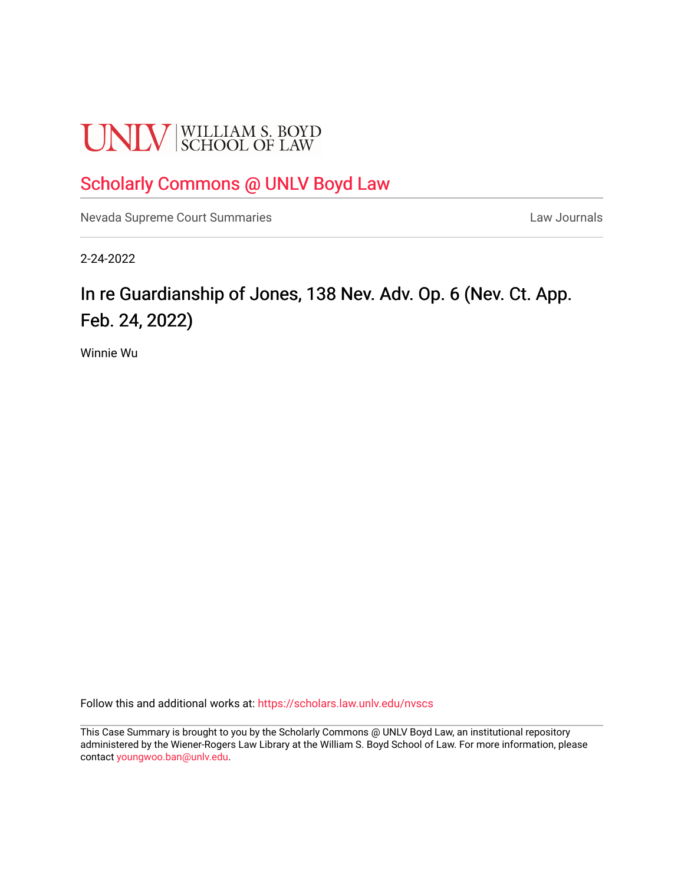# **UNLV** SCHOOL OF LAW

# [Scholarly Commons @ UNLV Boyd Law](https://scholars.law.unlv.edu/)

[Nevada Supreme Court Summaries](https://scholars.law.unlv.edu/nvscs) **Law Journals** Law Journals

2-24-2022

# In re Guardianship of Jones, 138 Nev. Adv. Op. 6 (Nev. Ct. App. Feb. 24, 2022)

Winnie Wu

Follow this and additional works at: [https://scholars.law.unlv.edu/nvscs](https://scholars.law.unlv.edu/nvscs?utm_source=scholars.law.unlv.edu%2Fnvscs%2F1481&utm_medium=PDF&utm_campaign=PDFCoverPages)

This Case Summary is brought to you by the Scholarly Commons @ UNLV Boyd Law, an institutional repository administered by the Wiener-Rogers Law Library at the William S. Boyd School of Law. For more information, please contact [youngwoo.ban@unlv.edu](mailto:youngwoo.ban@unlv.edu).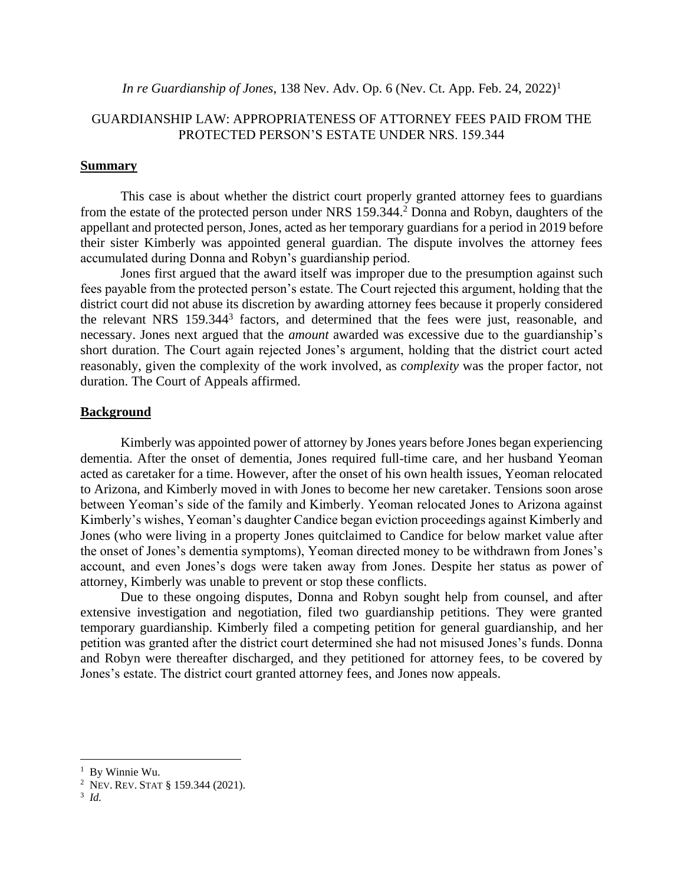## *In re Guardianship of Jones*, 138 Nev. Adv. Op. 6 (Nev. Ct. App. Feb. 24, 2022) 1

# GUARDIANSHIP LAW: APPROPRIATENESS OF ATTORNEY FEES PAID FROM THE PROTECTED PERSON'S ESTATE UNDER NRS. 159.344

## **Summary**

This case is about whether the district court properly granted attorney fees to guardians from the estate of the protected person under NRS 159.344.<sup>2</sup> Donna and Robyn, daughters of the appellant and protected person, Jones, acted as her temporary guardians for a period in 2019 before their sister Kimberly was appointed general guardian. The dispute involves the attorney fees accumulated during Donna and Robyn's guardianship period.

Jones first argued that the award itself was improper due to the presumption against such fees payable from the protected person's estate. The Court rejected this argument, holding that the district court did not abuse its discretion by awarding attorney fees because it properly considered the relevant NRS 159.344<sup>3</sup> factors, and determined that the fees were just, reasonable, and necessary. Jones next argued that the *amount* awarded was excessive due to the guardianship's short duration. The Court again rejected Jones's argument, holding that the district court acted reasonably, given the complexity of the work involved, as *complexity* was the proper factor, not duration. The Court of Appeals affirmed.

#### **Background**

Kimberly was appointed power of attorney by Jones years before Jones began experiencing dementia. After the onset of dementia, Jones required full-time care, and her husband Yeoman acted as caretaker for a time. However, after the onset of his own health issues, Yeoman relocated to Arizona, and Kimberly moved in with Jones to become her new caretaker. Tensions soon arose between Yeoman's side of the family and Kimberly. Yeoman relocated Jones to Arizona against Kimberly's wishes, Yeoman's daughter Candice began eviction proceedings against Kimberly and Jones (who were living in a property Jones quitclaimed to Candice for below market value after the onset of Jones's dementia symptoms), Yeoman directed money to be withdrawn from Jones's account, and even Jones's dogs were taken away from Jones. Despite her status as power of attorney, Kimberly was unable to prevent or stop these conflicts.

Due to these ongoing disputes, Donna and Robyn sought help from counsel, and after extensive investigation and negotiation, filed two guardianship petitions. They were granted temporary guardianship. Kimberly filed a competing petition for general guardianship, and her petition was granted after the district court determined she had not misused Jones's funds. Donna and Robyn were thereafter discharged, and they petitioned for attorney fees, to be covered by Jones's estate. The district court granted attorney fees, and Jones now appeals.

<sup>&</sup>lt;sup>1</sup> By Winnie Wu.

<sup>2</sup> NEV. REV.STAT § 159.344 (2021).

<sup>3</sup> *Id.*